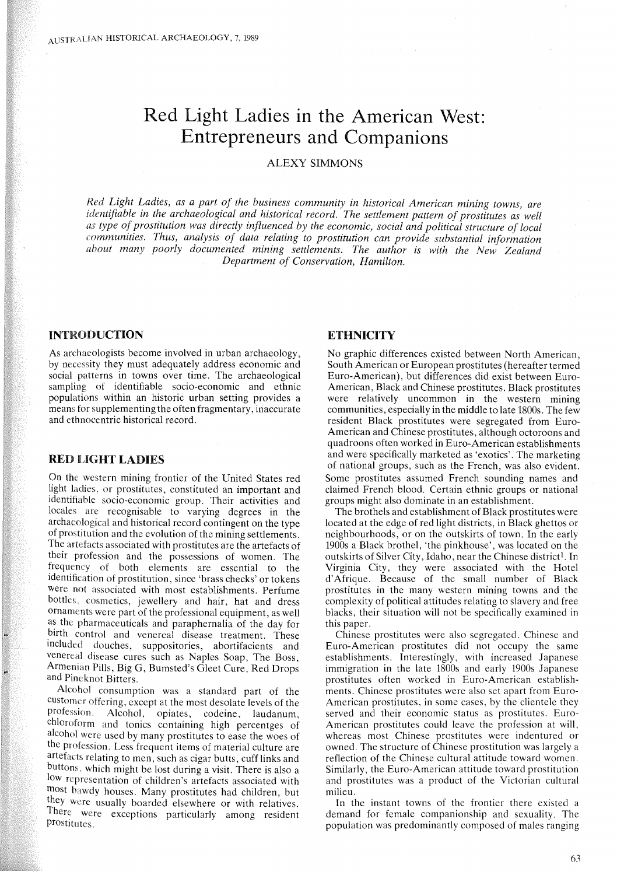# Red Light Ladies in the American West: Entrepreneurs and Companions

## ALEXY SIMMONS

*Red Light Ladies, as a part of the business community in historical American mining towns, are identifiable in the archaeological and historical record. The settlement pattern of prostitutes as well as type of prostitution was directly influenced by the economic, social and political structure of local communities. Thus, analysis of data relating to prostitution can provide substantial information about many poorly documented mining settlements. The author is with the New Zealand Department of Conservation, Hamilton.*

#### INTRODUCTION

As archaeologists become involved in urban archaeology, by necessity they must adequately address economic and social patterns in towns over time. The archaeological sampling of identifiable socio-economic and ethnic populations within an historic urban setting provides a means for supplementing the often fragmentary, inaccurate and ethnocentric historical record.

### RED LiGHT LADIES

On the western mining frontier of the United States red light ladies, or prostitutes, constituted an important and identifiable socio-economic group. Their activities and locales are recognisable to varying degrees in the archaeological and historical record contingent on the type of prostitution and the evolution of the mining settlements. The artefacts associated with prostitutes are the artefacts of their profession and the possessions of women. The frequency of both elements are essential to the identification of prostitution, since 'brass checks' or tokens were not associated with most establishments. Perfume bottles, cosmetics, jewellery and hair, hat and dress ornaments were part of the professional equipment, as well as the pharmaceuticals and paraphernalia of the day for birth control and venereal disease treatment. These included douches, suppositories, abortifacients and venereal disease cures such as Naples Soap, The Boss, Armenian Pills, Big G, Bumsted's Gleet Cure, Red Drops and Pineknot Bitters.

Alcohol consumption was a standard part of the customer offering, except at the most desolate levels of the Alcohol, opiates, codeine, laudanum, chloroform and tonics containing high percentges of alcohol were used by many prostitutes to ease the woes of the profession. Less frequent items of material culture are artefacts relating to men, such as cigar butts, cuff links and buttons, which might be lost during a visit. There is also a low representation of children's artefacts associated with most bawdy houses. Many prostitutes had children, but they were usually boarded elsewhere or with relatives. There were exceptions particularly among resident prostitutes.

## **ETHNICITY**

No graphic differences existed between North American, South American or European prostitutes (hereafter termed Euro-American), but differences did exist between Euro-American, Black and Chinese prostitutes. Black prostitutes were relatively uncommon in the western mining eommunities, especially in the middle to late 1800s. The few resident Black prostitutes were segregated from Euro-American and Chinese prostitutes, although octoroons and quadroons often worked in Euro-American establishments and were specifically marketed as 'exotics'. The marketing of national groups, such as the French, was also evident. Some prostitutes assumed French sounding names and claimed French blood. Certain ethnic groups or national groups might also dominate in an establishment.

The brothels and establishment of Black prostitutes were located at the edge of red light districts, in Black ghettos or neighbourhoods, or on the outskirts of town. In the early 1900s a Black brothel, 'the pinkhouse', was located on the outskirts of Silver City, Idaho, near the Chinese district<sup>1</sup>. In Virginia City, they were associated with the Hotel d'Afrique. Because of the small number of Black prostitutes in the many western mining towns and the complexity of political attitudes relating to slavery and free blacks, their situation will not be specifically examined in this paper.

Chinese prostitutes were also segregated. Chinese and Euro-American prostitutes did not occupy the same establishments. Interestingly, with increased Japanese immigration in the late 1800s and early 1900s Japanese prostitutes often worked in Euro-American establishments. Chinese prostitutes were also set apart from Euro-American prostitutes, in some cases, by the clientele they served and their economic status as prostitutes. Euro-American prostitutes could leave the profession at will, whereas most Chinese prostitutes were indentured or owned. The structure of Chinese prostitution was largely a reflection of the Chinese cultural attitude toward women. Similarly, the Euro-American attitude toward prostitution and prostitutes was a product of the Victorian cultural milieu.

In the instant towns of the frontier there existed a demand for female companionship and sexuality. The population was predominantly composed of males ranging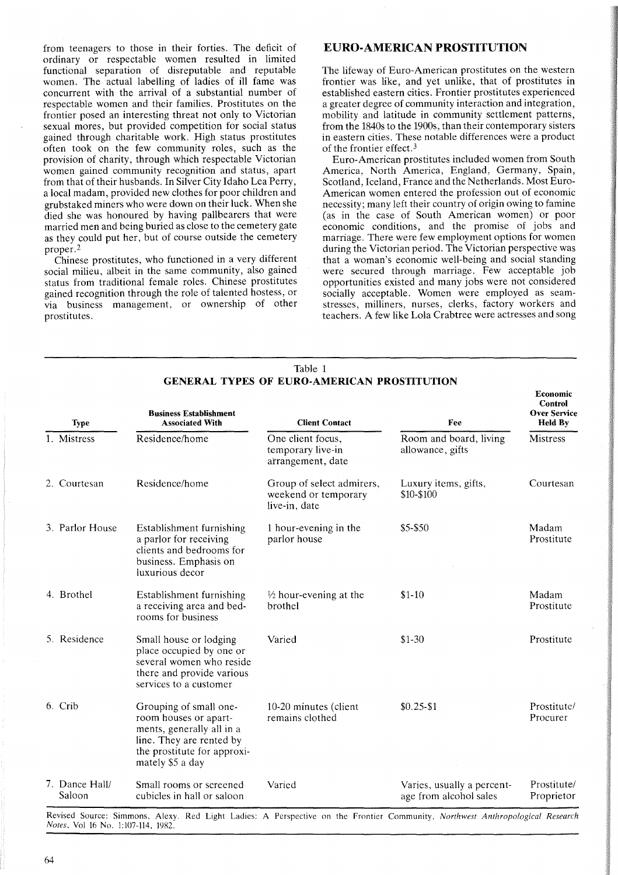from teenagers to those in their forties. The deficit of ordinary or respectable women resulted in limited functional separation of disreputable and reputable women. The actual labelling of ladies of ill fame was concurrent with the arrival of a substantial number of respectable women and their families. Prostitutes on the frontier posed an interesting threat not only to Victorian sexual mores, but provided competition for social status gained through charitable work. High status prostitutes often took on the few community roles, such as the provision of charity, through which respectable Victorian women gained community recognition and status, apart from that of their husbands. In Silver City Idaho Lea Perry, a local madam, provided new clothes for poor children and grubstaked miners who were down on their luck. When she died she was honoured by having pallbearers that were married men and being buried as close to the cemetery gate as they could put her, but of course outside the cemetery proper. <sup>2</sup>

Chinese prostitutes, who functioned in a very different social milieu, albeit in the same community, also gained status from traditional female roles. Chinese prostitutes gained recognition through the role of talented hostess, or via business management, or ownership of other prostitutes.

# EURO·AMERICAN PROSTITUTION

The lifeway of Euro-American prostitutes on the western frontier was like, and yet unlike, that of prostitutes in established eastern cities. Frontier prostitutes experienced a greater degree of community interaction and integration, mobility and latitude in community settlement patterns, from the 1840s to the 1900s, than their contemporary sisters in eastern cities. These notable differences were a product of the frontier effect. 3

Euro-American prostitutes included women from South America, North America, England, Germany, Spain, Scotland, Iceland, France and the Netherlands. Most Euro-American women entered the profession out of economic necessity; many left their country of origin owing to famine (as in the case of South American women) or poor economic conditions, and the promise of jobs and marriage. There were few employment options for women during the Victorian period. The Victorian perspective was that a woman's economic well-being and social standing were secured through marriage. Few acceptable job opportunities existed and many jobs were not considered socially acceptable. Women were employed as seamstresses, milliners, nurses, clerks, factory workers and teachers. A few like Lola Crabtree were actresses and song

| <b>Type</b>              | <b>Business Establishment</b><br><b>Associated With</b>                                                                                                     | <b>Client Contact</b>                                              | Fee                                                  | Economic<br>Control<br><b>Over Service</b><br><b>Held By</b> |
|--------------------------|-------------------------------------------------------------------------------------------------------------------------------------------------------------|--------------------------------------------------------------------|------------------------------------------------------|--------------------------------------------------------------|
| 1. Mistress              | Residence/home                                                                                                                                              | One client focus,<br>temporary live-in<br>arrangement, date        | Room and board, living<br>allowance, gifts           | Mistress                                                     |
| 2. Courtesan             | Residence/home                                                                                                                                              | Group of select admirers,<br>weekend or temporary<br>live-in, date | Luxury items, gifts,<br>\$10-\$100                   | Courtesan                                                    |
| 3. Parlor House          | Establishment furnishing<br>a parlor for receiving<br>clients and bedrooms for<br>business. Emphasis on<br>luxurious decor                                  | 1 hour-evening in the<br>parlor house                              | \$5-\$50                                             | Madam<br>Prostitute                                          |
| 4. Brothel               | Establishment furnishing<br>a receiving area and bed-<br>rooms for business                                                                                 | $\frac{1}{2}$ hour-evening at the<br>brothel                       | $$1-10$                                              | Madam<br>Prostitute                                          |
| 5. Residence             | Small house or lodging<br>place occupied by one or<br>several women who reside<br>there and provide various<br>services to a customer                       | Varied                                                             | $$1-30$                                              | Prostitute                                                   |
| 6. Crib                  | Grouping of small one-<br>room houses or apart-<br>ments, generally all in a<br>line. They are rented by<br>the prostitute for approxi-<br>mately \$5 a day | 10-20 minutes (client<br>remains clothed                           | $$0.25 - $1$                                         | Prostitute/<br>Procurer                                      |
| 7. Dance Hall/<br>Saloon | Small rooms or screened<br>cubicles in hall or saloon                                                                                                       | Varied                                                             | Varies, usually a percent-<br>age from alcohol sales | Prostitute/<br>Proprietor                                    |

Revised Source: Simmons, Alexy. Red Light Ladies: A Perspective on the Frontier Community, *Northwest Anthropological Research Notes,* Vol 16 No. 1:107-114, 1982.

#### Table 1 GENERAL TYPES OF EURO-AMERICAN PROSTITUTION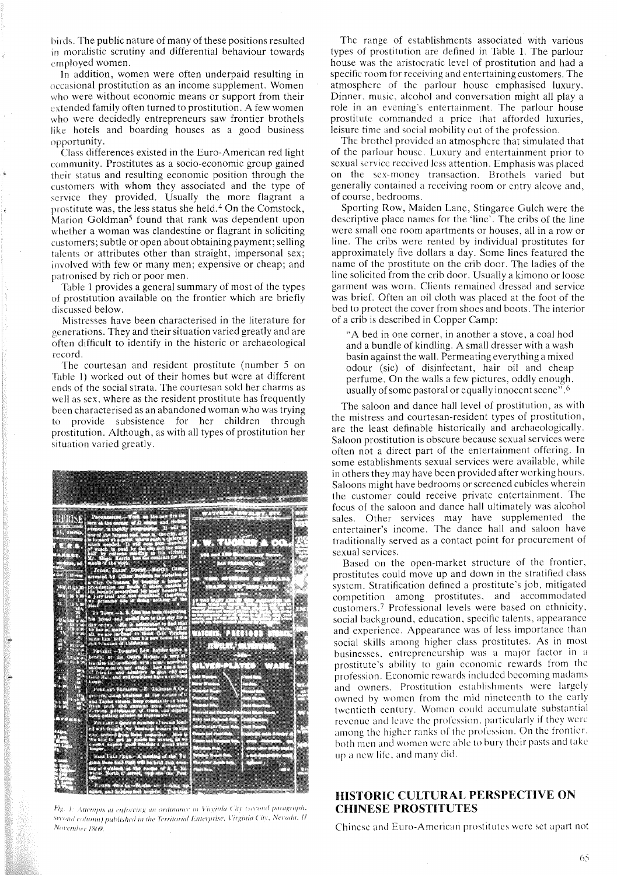birds. The public nature of many of these positions resulted in moralistic scrutiny and differential behaviour towards employed women.

In addition, women were often underpaid resulting in occasional prostitution as an income supplement. Women who were without economic means or support from their extended family often turned to prostitution. A few women who were decidedly entrepreneurs saw frontier brothels like hotels and boarding houses as a good business opportunity.

Class differences existed in the Euro-American red light community. Prostitutes as a socio-economic group gained their status and resulting economic position through the customers with whom they associated and the type of service they provided. Usually the more flagrant a prostitute was, the less status she held. <sup>4</sup> On the Comstock, Marion Goldman<sup>5</sup> found that rank was dependent upon whether a woman was clandestine or flagrant in soliciting customers; subtle or open about obtaining payment; selling talents or attributes other than straight, impersonal sex; involved with few or many men; expensive or cheap; and patronised by rich or poor men.

Table 1 provides a general summary of most of the types of prostitution available on the frontier which are briefly discussed below.

Mistresses have been characterised in the literature for generations. They and their situation varied greatly and are often difficult to identify in the historic or archaeological record.

The courtesan and resident prostitute (number 5 on Table 1) worked out of their homes but were at different ends of the social strata. The courtesan sold her charms as well as sex, where as the resident prostitute has frequently been characterised as an abandoned woman who was trying to provide subsistence for her children through prostitution. Although, as with all types of prostitution her situation varied greatly.

| 998)<br>edini <b>nin</b> i                                            |                                                                                                                      | kalakulon kalendari kalendari kalendari kalendari kalendari kalendari kalendari kalendari kalendari kalendari                                                                                                                                                                                         |
|-----------------------------------------------------------------------|----------------------------------------------------------------------------------------------------------------------|-------------------------------------------------------------------------------------------------------------------------------------------------------------------------------------------------------------------------------------------------------------------------------------------------------|
| ,,,,,,,,,,,<br>11                                                     |                                                                                                                      | <u> Tarthar Theodorius (1986-1988) et al. En forma de la componenta</u>                                                                                                                                                                                                                               |
| <b>FALL ALLA</b>                                                      |                                                                                                                      | arawang pang-manangang mas<br>ana dhina ann an ainm tuan.                                                                                                                                                                                                                                             |
| an ar ainmeir                                                         |                                                                                                                      | <u>alement di serie se su consequencia de serie </u><br>an dia manana ary ara-daharampehintany ary ara-daharanjarahasin'ilay kaominina dia 4.1119.<br>Ny faritr'ora dia GMT+1.                                                                                                                        |
| <b>The Company of the Company</b><br><b>The Second Contract</b><br>78 |                                                                                                                      |                                                                                                                                                                                                                                                                                                       |
|                                                                       | <b>The Communication</b>                                                                                             |                                                                                                                                                                                                                                                                                                       |
|                                                                       | <b>The Company</b>                                                                                                   | <b>LANGUE DE LA PERSONA DE LA PERSONA DE LA PERSONA DE LA PERSONA DE LA PERSONA DE LA PERSONA DE LA PERSONA DE LA</b>                                                                                                                                                                                 |
|                                                                       |                                                                                                                      | 83 84 34 35 36 37 38                                                                                                                                                                                                                                                                                  |
|                                                                       |                                                                                                                      | <u>INTIJA TITU</u><br>nang-masa                                                                                                                                                                                                                                                                       |
|                                                                       | Martin Car                                                                                                           | ana matalo<br>Waliofari<br><u>ammini am</u>                                                                                                                                                                                                                                                           |
|                                                                       |                                                                                                                      | amamamoanno                                                                                                                                                                                                                                                                                           |
| 337999                                                                | <u> 2000 - 2000 - 2000 - 2000 - 2000 - 2000 - 2000 - 2000 - 2000 - 2000 - 2000 - 2000 - 2000 - 2000 - 2000 - 200</u> | namang manang<br>Manahasanang<br>William March 2007<br>The Contained States of the Contains of the Contains of the Contains of the Contains of the Contains of the Co<br><b>radioador de la componenta</b><br>Antonio de contexto de la componenta                                                    |
| وصنعتها                                                               | <b>THE 2002</b>                                                                                                      | a manggunakan<br>en ar an go choille an air an t-ainm an t-ainm an t-ainm an t-ainm an t-ainm an t-ainm an t-ainm an t-ainm an<br>T-ainm an t-ainm an t-ainm an t-ainm an t-ainm an t-ainm an t-ainm an t-ainm an t-ainm an t-ainm an t-ainm an                                                       |
|                                                                       | <b>ATTER</b>                                                                                                         | <b><i>Manazarta ya Kilomete</i>n ya Kilometen ya Kilometen ya Kilometen ya Kilometen ya Kilometen ya Kilometen ya Kilomete<br/>Manazarta ya Kilometen ya Kilometen ya Kilometen ya Kilometen ya Kilometen ya Kilometen ya Kilometen ya K</b><br><b>ppangunununun per</b><br><u>maanaan</u><br>William |
|                                                                       |                                                                                                                      |                                                                                                                                                                                                                                                                                                       |

*Fig.* 1: Attempts at enforcing an ordinance in Virginia City (second paragraph,  $S^{econd}$  column) published in the Territorial Enterprise, Virginia City, Nevada, II *Ni!\'l'Inher /8h9.*

The range of establishments associated with various types of prostitution are defined in Table 1. The parlour house was the aristocratic level of prostitution and had a specific room for receiving and entertaining customers. The atmosphere of the parlour house emphasised luxury. Dinner. music. alcohol and conversation might all playa role in an evening's entertainment. The parlour house prostitute commanded a price that afforded luxuries, leisure time and social mobility out of the profession.

The brothel provided an atmosphere that simulated that of the parlour house. Luxury and entertainment prior to sexual service received less attention. Emphasis was placed on the sex-money transaction. Brothels varied but generally contained a recciving room or entry alcove and, of course, bedrooms.

Sporting Row, Maiden Lane, Stingaree Gulch were the descriptive place names for the 'line'. The cribs of the line were small one room apartments or houses, all in a row or line. The cribs were rented by individual prostitutes for approximately five dollars a day. Some lines featured the name of the prostitute on the crib door. The ladies of the line solicited from the crib door. Usually a kimono or loose garment was worn. Clients remained dressed and service was brief. Often an oil cloth was placed at the foot of the bed to protect the cover from shoes and boots. The interior of a crib is described in Copper Camp:

"A bed in one corner, in another a stove, a coal hod and a bundle of kindling. A small dresser with a wash basin against the wall. Permeating everything a mixed odour (sic) of disinfectant, hair oil and cheap perfume. On the walls a few pictures, oddly enough, usually of some pastoral or equally innocent scene".<sup>6</sup>

The saloon and dance hall level of prostitution, as with the mistress and courtesan-resident types of prostitution, are the least definable historically and archaeologically. Saloon prostitution is obscure because sexual services were often not a direct part of the entertainment offering. In some establishments sexual services were available, while in others they may have been provided after working hours. Saloons might have bedrooms or screened cubicles wherein the customer could receive private entertainment. The focus of the saloon and dance hall ultimately was alcohol sales. Other services may have supplemented the entertainer's income. The dance hall and saloon have traditionally served as a contact point for procurement of sexual services.

Based on the open-market structure of the frontier, prostitutes could move up and down in the stratified class system. Stratification defined a prostitute's job, mitigated competition among prostitutes, and accommodated customers.7 Professional levels were based on ethnicity, social background, education, specific talents, appearance and experience. Appearance was of less importance than social skills among higher class prostitutes. As in most businesses, entrepreneurship was a major factor in a prostitute's ability to gain economic rewards from the profession. Economic rewards included becoming madams and owners. Prostitution establishments were largely owned by women from the mid nineteenth to the early twentieth century. Women could accumulate substantial revenue and leave the profession, particularly if they were among the higher ranks of the profession. On the frontier. both men and women were able to bury their pasts and take up a new life. and many did.

# HISTORIC CULTURAL PERSPECTIVE ON CHINESE PROSTITUTES

Chinese and Euro-Amcriean prostitutes were set apart not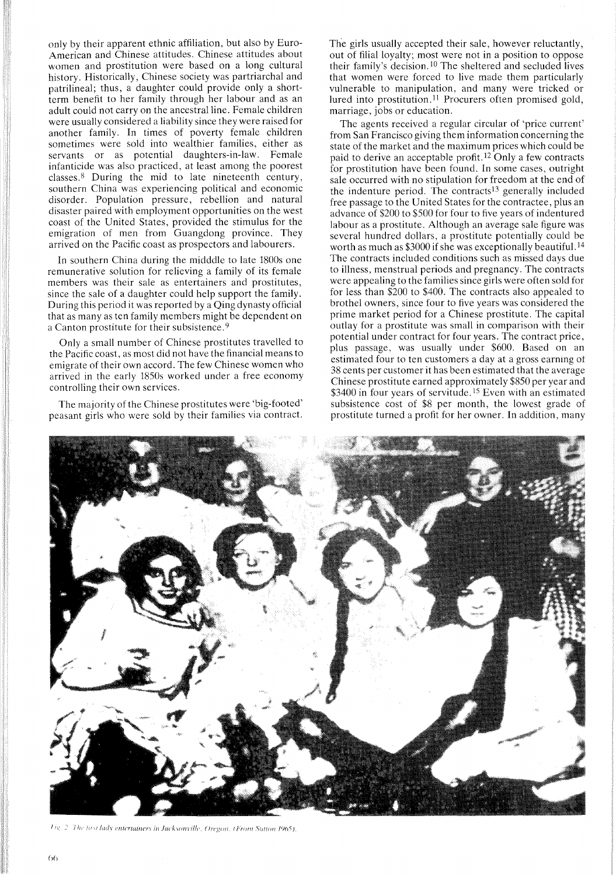only by their apparent ethnic affiliation, but also by Euro-American and Chinese attitudes. Chinese attitudes about women and prostitution were based on a long cultural history, Historically, Chinese society was partriarchal and patrilineal; thus, a daughter could provide only a shortterm benefit to her family through her labour and as an adult could not carryon the ancestral line. Female children were usually considered a liability since they were raised for another family. In times of poverty female children sometimes were sold into wealthier families, either as servants or as potential daughters-in-law. Female infanticide was also practiced, at least among the poorest classes. 8 During the mid to late nineteenth century, southern China was experiencing political and economic disorder. Population pressure, rebellion and natural disaster paired with employment opportunities on the west coast of the United States, provided the stimulus for the emigration of men from Guangdong province. They arrived on the Pacific coast as prospectors and labourers.

In southern China during the midddle to late 1800s one remunerative solution for relieving a family of its female members was their sale as entertainers and prostitutes, since the sale of a daughter could help support the family. During this period it was reported by a Qing dynasty official that as many as ten family members might be dependent on a Canton prostitute for their subsistence. 9

Only a small number of Chinese prostitutes travelled to the Pacific coast, as most did not have the financial means to emigrate of their own accord. The few Chinese women who arrived in the early 1850s worked under a free economy controlling their own services.

The majority of the Chinese prostitutes were 'big-footed' peasant girls who were sold by their families via contract.

The girls usually accepted their sale, however reluctantly, out of filial loyalty; most were not in a position to oppose their family's decision, <sup>10</sup> The sheltered and secluded lives that women were forced to live made them particularly vulnerable to manipulation, and many were tricked or lured into prostitution.<sup>11</sup> Procurers often promised gold, marriage, jobs or education.

The agents received a regular circular of 'price current' from San Francisco giving them information concerning the state of the market and the maximum prices which could be paid to derive an acceptable profit. 12 Only a few contracts for prostitution have been found. In some cases, outright sale occurred with no stipulation for freedom at the end of the indenture period. The contracts<sup>13</sup> generally included free passage to the United States for the contractee, plus an advance of \$200 to \$500 for four to five years of indentured labour as a prostitute. Although an average sale figure was several hundred dollars, a prostitute potentially could be worth as much as \$3000 if she was exceptionally beautiful.<sup>14</sup> The contracts included conditions such as missed days due to illness, menstrual periods and pregnancy, The contracts were appealing to the families since girls were often sold for for less than \$200 to \$400. The contracts also appealed to brothel owners, since four to five years was considered the prime market period for a Chinese prostitute, The capital outlay for a prostitute was small in comparison with their potential under contract for four years. The contract price, plus passage, was usually under \$600. Based on an estimated four to ten customers a day at a gross earning of 38 cents per customer it has been estimated that the average Chinese prostitute earned approximately \$850 per year and \$3400 in four years of servitude.<sup>15</sup> Even with an estimated subsistence cost of \$8 per month, the lowest grade of prostitute turned a profit for her owner. In addition, many



Ile. 2: The first lady entertainers in Jacksonville, Oregon. (From Sutton 1965).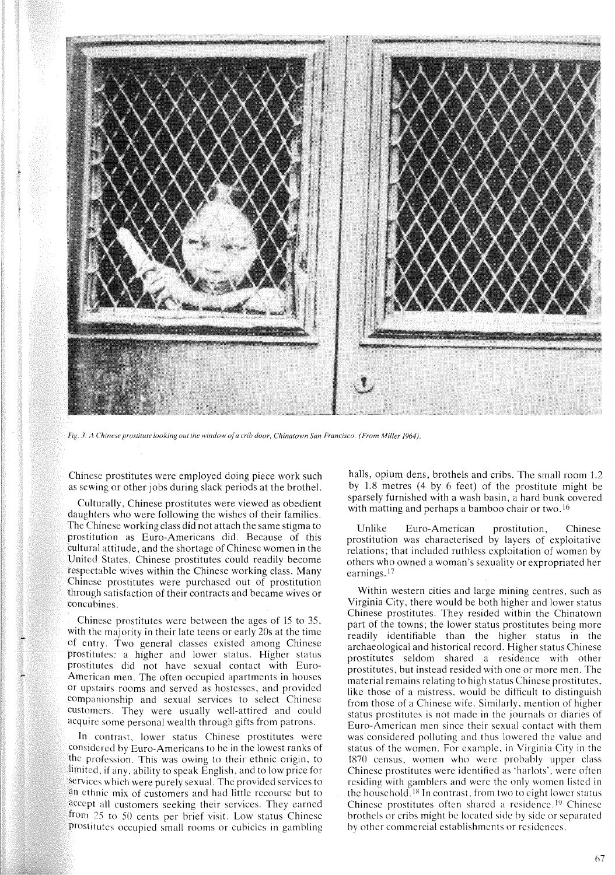

*Fig.* 3. it *Chinese prostitute looking out the window ofa crib door, Chinatown San Francisco. (From Miller 1964).*

Chinese prostitutes were employed doing pieee work such as sewing or other jobs during slack periods at the brothel.

Culturally, Chinese prostitutes were viewed as obedient daughters who were following the wishes of their families. The Chinese working class did not attach the same stigma to prostitution as Euro-Americans did. Because of this cultural attitude, and the shortage of Chinese women **in** the United States, Chinese prostitutes could readily become respectable wives within the Chinese working class. Many Chinese prostitutes were purchased out of prostitution through satisfaction of their contracts and became wives or concubines.

Chinese prostitutes were between the ages of 15 to 35, with the majority in their late teens or early 20s at the time of entry. Two general classes existed among Chinese prostitutes: a higher and lower status. Higher status prostitutes did not have sexual contact with Euro-American men. The often occupied apartments in houses or upstairs rooms and served as hostesses, and provided companionship and sexual services to select Chinese customers. They were usually well-attired and could acquire some personal wealth through gifts from patrons.

In contrast, lower status Chinese prostitutes were eonsidered by Euro-Americans to be in the lowest ranks of the profession. This was owing to their ethnic origin, to limited, if any, ability to speak English, and to low price for services which were purely sexual. The provided services to an ethnic mix of customers and had little recourse but to accept all customers seeking their services. They earned from 25 to 50 cents per brief visit. Low status Chinese prostitutes occupied small rooms or cubicles in gambling

halls, opium dens, brothels and cribs. The small room 1.2 by 1.8 metres (4 by 6 feet) of the prostitute might be sparsely furnished with a wash basin, a hard bunk covered with matting and perhaps a bamboo chair or two.<sup>16</sup>

Unlike Euro-American prostitution, Chinese prostitution was characterised by layers of exploitative relations; that included ruthless exploitation of women by others who owned a woman's sexuality or expropriated her earnings.<sup>17</sup>

Within western cities and large mining centres, such as Virginia City, there would be both higher and lower status Chinese prostitutes. They resided within the Chinatown part of the towns; the lower status prostitutes being more readily identifiable than the higher status in the archaeological and historical record. Higher status Chinese prostitutes seldom shared a residence with other prostitutes, but instead resided with one or more men. The material remains relating to high status Chinese prostitutes, like those of a mistress, would be difficult to distinguish from those of a Chinese wife. Similarly, mention of higher status prostitutes is not made in the journals or diaries of Euro-American men since their sexual contact with them was considered polluting and thus lowered the value and status of the women. For example, in Virginia City in the 1870 census, women who were probably upper class Chinese prostitutes were identified as 'harlots', were often residing with gamblers and were the only women listed in the household.<sup>18</sup> In contrast, from two to eight lower status Chinese prostitutes often shared a residence.<sup>19</sup> Chinese brothels or cribs might be located side by side or separated by other commercial establishments or residences.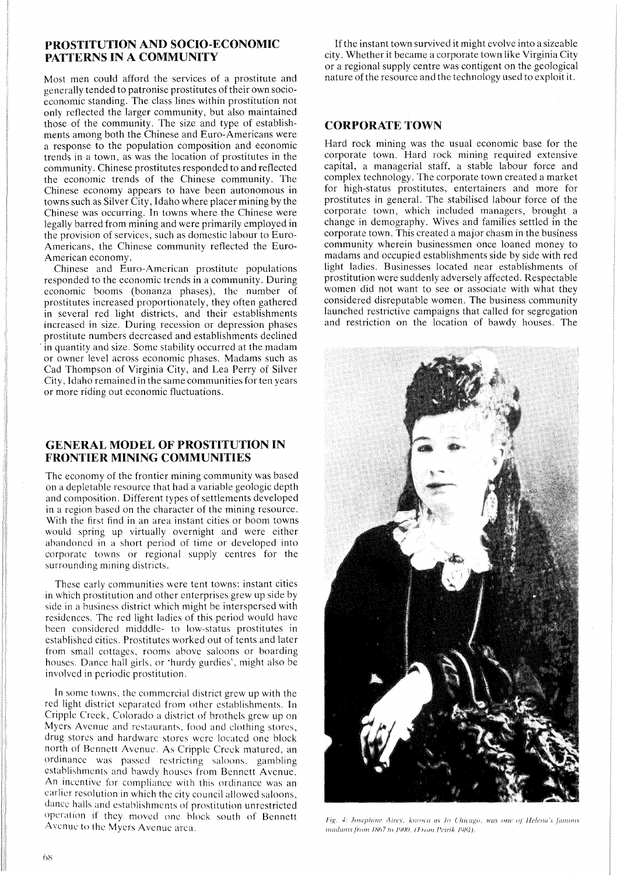# PROSTITUTION AND SOCIO-ECONOMIC PATTERNS IN A COMMUNITY

Most men could afford the services of a prostitute and generally tended to patronise prostitutes of their own socioeconomic standing. The class lines within prostitution not only reflected the larger community, but also maintained those of the community. The size and type of establishments among both the Chinese and Euro-Americans were a response to the population composition and economic trends in a town, as was the location of prostitutes in the community. Chinese prostitutes responded to and reflected the economic trends of the Chinese community. The Chinese economy appears to have been autonomous in towns such as Silver City, Idaho where placer mining by the Chinese was occurring. In towns where the Chinese were legally barred from mining and were primarily employed in the provision of services, such as domestic labour to Euro-Americans, the Chinese community reflected the Euro-American economy.

Chinese and Euro-American prostitute populations responded to the economic trends in a community. During economic booms (bonanza phases), the number of prostitutes increased proportionately, they often gathered in several red light districts, and their establishments increased in size. During recession or depression phases prostitute numbers decreased and establishments declined . in quantity and size. Some stability occurred at the madam or owner level across economic phases. Madams such as Cad Thompson of Virginia City, and Lea Perry of Silver City, Idaho remained in the same communities for ten years or more riding out economic fluctuations.

# GENERAL MODEL OF PROSTITUTION IN FRONTIER MINING COMMUNITIES

The economy of the frontier mining community was based on a depletable resource that had a variable geologic depth and composition. Different types of settlements developed in a region based on the character of the mining resource. With the first find in an area instant cities or boom towns would spring up virtually overnight and were either abandoncd in a short period of time or developed into corporate towns or regional supply centres for the surrounding mining districts.

Thesc early communities were tent towns: instant cities in which prostitution and other enterprises grew up side by side in a business district which might be interspersed with residences. The red light ladies of this period would have been eonsidered midddle- to low-status prostitutes in established cities. Prostitutes worked out of tents and later from small cottages, rooms above saloons or boarding houses. Dance hall girls, or 'hurdy gurdies', might also be involved in periodic prostitution.

In some towns, the commercial district grew up with the red light district separated from other establishments. In Cripple Creek, Colorado a district of brothels grew up on Myers Avenue and restaurants. food and clothing stores, drug stores and hardware stores were located one block north of Bennett Avenue. As Cripple Creek matured. an ordinance was passed restricting saloons, gambling establishments and bawdy houses from Bennett Avenue. An incentive for compliance with this ordinance was an earlier resolution in which the city council allowed saloons, dance halls and establishments of prostitution unrestricted operation if they moved one block south of Bennett Avenue to the Myers Avenue area.

If the instant town survived it might evolve into a sizeable city. Whether it became a corporate town like Virginia City or a regional supply centre was contigent on the geological nature of the resource and the technology used to exploit it.

# CORPORATE TOWN

Hard rock mining was the usual economic base for the corporate town. Hard rock mining required extensive capital, a managerial staff, a stable labour force and complex technology. The corporate town created a market for high-status prostitutes, entertainers and more for prostitutes in general. The stabilised labour force of the corporate town, which included managers, brought a change in demography. Wives and families settled in the corporate town. This created a major chasm in the business community wherein businessmen once loaned money to madams and occupied establishments side by side with red light ladies. Businesses located near establishments of prostitution were suddenly adversely affected. Respectable women did not want to see or associate with what they considered disreputable women. The business community launched restrictive campaigns that called for segregation and restriction on the location of bawdy houses. The



Fig. 4: Josephine Airey, known as Jo Chicago, was one of Helena's famous *madams from 1867 to 1900. (From Petrik 1981).*